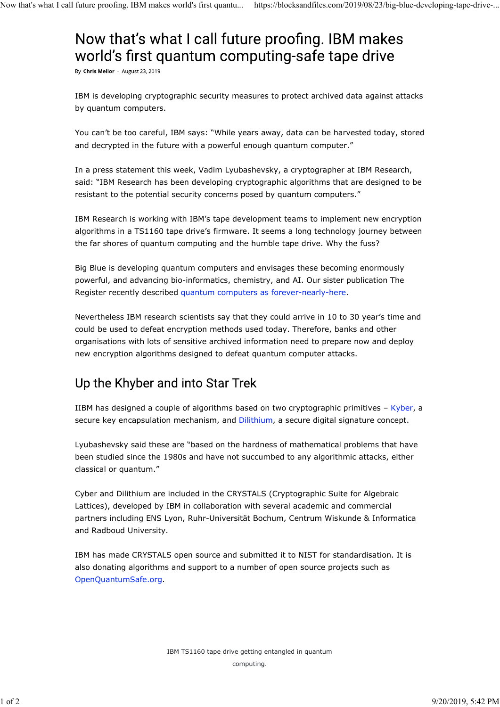## Now that's what I call future proofing. IBM makes world's first quantum computing-safe tape drive

By Chris Mellor - August 23, 2019

IBM is developing cryptographic security measures to protect archived data against attacks by quantum computers.

You can't be too careful, IBM says: "While years away, data can be harvested today, stored and decrypted in the future with a powerful enough quantum computer."

In a press statement this week, Vadim Lyubashevsky, a cryptographer at IBM Research, said: "IBM Research has been developing cryptographic algorithms that are designed to be resistant to the potential security concerns posed by quantum computers."

IBM Research is working with IBM's tape development teams to implement new encryption algorithms in a TS1160 tape drive's firmware. It seems a long technology journey between the far shores of quantum computing and the humble tape drive. Why the fuss?

Big Blue is developing quantum computers and envisages these becoming enormously powerful, and advancing bio-informatics, chemistry, and AI. Our sister publication The Register recently described quantum computers as forever-nearly-here.

Nevertheless IBM research scientists say that they could arrive in 10 to 30 year's time and could be used to defeat encryption methods used today. Therefore, banks and other organisations with lots of sensitive archived information need to prepare now and deploy new encryption algorithms designed to defeat quantum computer attacks.

## Up the Khyber and into Star Trek

IIBM has designed a couple of algorithms based on two cryptographic primitives – Kyber, a secure key encapsulation mechanism, and Dilithium, a secure digital signature concept.

Lyubashevsky said these are "based on the hardness of mathematical problems that have been studied since the 1980s and have not succumbed to any algorithmic attacks, either classical or quantum."

Cyber and Dilithium are included in the CRYSTALS (Cryptographic Suite for Algebraic Lattices), developed by IBM in collaboration with several academic and commercial partners including ENS Lyon, Ruhr-Universität Bochum, Centrum Wiskunde & Informatica and Radboud University.

IBM has made CRYSTALS open source and submitted it to NIST for standardisation. It is also donating algorithms and support to a number of open source projects such as OpenQuantumSafe.org.